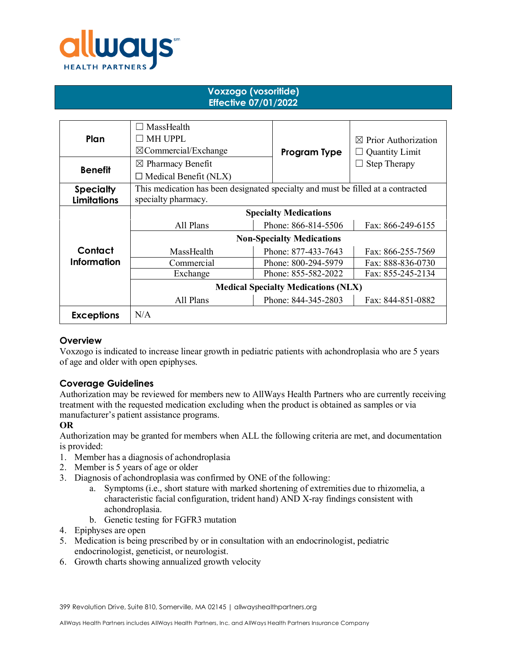

## **Voxzogo (vosoritide) Effective 07/01/2022**

| Plan                                   | MassHealth<br>r i<br><b>MH UPPL</b><br>$\boxtimes$ Commercial/Exchange                                  | Program Type        | $\boxtimes$ Prior Authorization<br><b>Quantity Limit</b> |
|----------------------------------------|---------------------------------------------------------------------------------------------------------|---------------------|----------------------------------------------------------|
| <b>Benefit</b>                         | $\boxtimes$ Pharmacy Benefit<br>$\Box$ Medical Benefit (NLX)                                            |                     | <b>Step Therapy</b>                                      |
| <b>Specialty</b><br><b>Limitations</b> | This medication has been designated specialty and must be filled at a contracted<br>specialty pharmacy. |                     |                                                          |
|                                        | <b>Specialty Medications</b>                                                                            |                     |                                                          |
|                                        | All Plans                                                                                               | Phone: 866-814-5506 | Fax: 866-249-6155                                        |
|                                        | <b>Non-Specialty Medications</b>                                                                        |                     |                                                          |
| Contact                                | MassHealth                                                                                              | Phone: 877-433-7643 | Fax: 866-255-7569                                        |
| <b>Information</b>                     | Commercial                                                                                              | Phone: 800-294-5979 | Fax: 888-836-0730                                        |
|                                        | Exchange                                                                                                | Phone: 855-582-2022 | Fax: 855-245-2134                                        |
|                                        | <b>Medical Specialty Medications (NLX)</b>                                                              |                     |                                                          |
|                                        | All Plans                                                                                               | Phone: 844-345-2803 | Fax: 844-851-0882                                        |
| <b>Exceptions</b>                      | N/A                                                                                                     |                     |                                                          |

# **Overview**

Voxzogo is indicated to increase linear growth in pediatric patients with achondroplasia who are 5 years of age and older with open epiphyses.

### **Coverage Guidelines**

Authorization may be reviewed for members new to AllWays Health Partners who are currently receiving treatment with the requested medication excluding when the product is obtained as samples or via manufacturer's patient assistance programs.

### **OR**

Authorization may be granted for members when ALL the following criteria are met, and documentation is provided:

- 1. Member has a diagnosis of achondroplasia
- 2. Member is 5 years of age or older
- 3. Diagnosis of achondroplasia was confirmed by ONE of the following:
	- a. Symptoms (i.e., short stature with marked shortening of extremities due to rhizomelia, a characteristic facial configuration, trident hand) AND X-ray findings consistent with achondroplasia.
	- b. Genetic testing for FGFR3 mutation
- 4. Epiphyses are open
- 5. Medication is being prescribed by or in consultation with an endocrinologist, pediatric endocrinologist, geneticist, or neurologist.
- 6. Growth charts showing annualized growth velocity